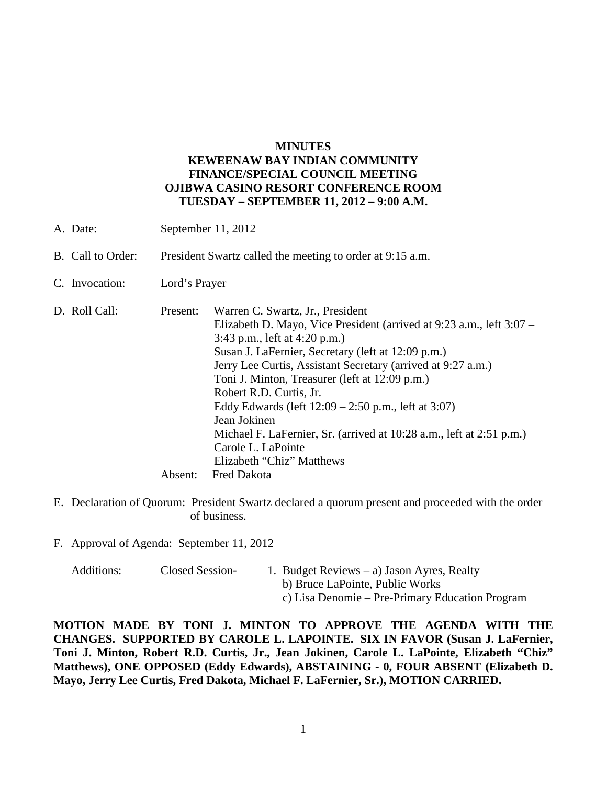## **MINUTES KEWEENAW BAY INDIAN COMMUNITY FINANCE/SPECIAL COUNCIL MEETING OJIBWA CASINO RESORT CONFERENCE ROOM TUESDAY – SEPTEMBER 11, 2012 – 9:00 A.M.**

| B. Call to Order:                                                                                                                                                                                                                                                                                                                                                                                                                                                                                                                                                                                         | President Swartz called the meeting to order at 9:15 a.m. |  |
|-----------------------------------------------------------------------------------------------------------------------------------------------------------------------------------------------------------------------------------------------------------------------------------------------------------------------------------------------------------------------------------------------------------------------------------------------------------------------------------------------------------------------------------------------------------------------------------------------------------|-----------------------------------------------------------|--|
| C. Invocation:<br>Lord's Prayer                                                                                                                                                                                                                                                                                                                                                                                                                                                                                                                                                                           |                                                           |  |
| D. Roll Call:<br>Warren C. Swartz, Jr., President<br>Present:<br>Elizabeth D. Mayo, Vice President (arrived at 9:23 a.m., left 3:07 –<br>3:43 p.m., left at $4:20$ p.m.)<br>Susan J. LaFernier, Secretary (left at 12:09 p.m.)<br>Jerry Lee Curtis, Assistant Secretary (arrived at 9:27 a.m.)<br>Toni J. Minton, Treasurer (left at 12:09 p.m.)<br>Robert R.D. Curtis, Jr.<br>Eddy Edwards (left $12:09 - 2:50$ p.m., left at 3:07)<br>Jean Jokinen<br>Michael F. LaFernier, Sr. (arrived at 10:28 a.m., left at 2:51 p.m.)<br>Carole L. LaPointe<br>Elizabeth "Chiz" Matthews<br>Fred Dakota<br>Absent: |                                                           |  |

- E. Declaration of Quorum: President Swartz declared a quorum present and proceeded with the order of business.
- F. Approval of Agenda: September 11, 2012

| Additions: | Closed Session- | 1. Budget Reviews $-$ a) Jason Ayres, Realty    |
|------------|-----------------|-------------------------------------------------|
|            |                 | b) Bruce LaPointe, Public Works                 |
|            |                 | c) Lisa Denomie – Pre-Primary Education Program |

**MOTION MADE BY TONI J. MINTON TO APPROVE THE AGENDA WITH THE CHANGES. SUPPORTED BY CAROLE L. LAPOINTE. SIX IN FAVOR (Susan J. LaFernier, Toni J. Minton, Robert R.D. Curtis, Jr., Jean Jokinen, Carole L. LaPointe, Elizabeth "Chiz" Matthews), ONE OPPOSED (Eddy Edwards), ABSTAINING - 0, FOUR ABSENT (Elizabeth D. Mayo, Jerry Lee Curtis, Fred Dakota, Michael F. LaFernier, Sr.), MOTION CARRIED.**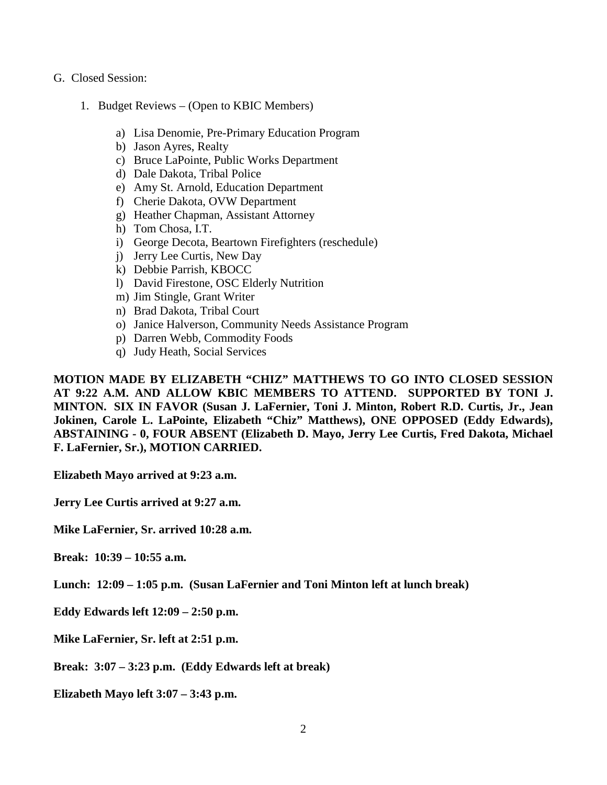- G. Closed Session:
	- 1. Budget Reviews (Open to KBIC Members)
		- a) Lisa Denomie, Pre-Primary Education Program
		- b) Jason Ayres, Realty
		- c) Bruce LaPointe, Public Works Department
		- d) Dale Dakota, Tribal Police
		- e) Amy St. Arnold, Education Department
		- f) Cherie Dakota, OVW Department
		- g) Heather Chapman, Assistant Attorney
		- h) Tom Chosa, I.T.
		- i) George Decota, Beartown Firefighters (reschedule)
		- j) Jerry Lee Curtis, New Day
		- k) Debbie Parrish, KBOCC
		- l) David Firestone, OSC Elderly Nutrition
		- m) Jim Stingle, Grant Writer
		- n) Brad Dakota, Tribal Court
		- o) Janice Halverson, Community Needs Assistance Program
		- p) Darren Webb, Commodity Foods
		- q) Judy Heath, Social Services

**MOTION MADE BY ELIZABETH "CHIZ" MATTHEWS TO GO INTO CLOSED SESSION AT 9:22 A.M. AND ALLOW KBIC MEMBERS TO ATTEND. SUPPORTED BY TONI J. MINTON. SIX IN FAVOR (Susan J. LaFernier, Toni J. Minton, Robert R.D. Curtis, Jr., Jean Jokinen, Carole L. LaPointe, Elizabeth "Chiz" Matthews), ONE OPPOSED (Eddy Edwards), ABSTAINING - 0, FOUR ABSENT (Elizabeth D. Mayo, Jerry Lee Curtis, Fred Dakota, Michael F. LaFernier, Sr.), MOTION CARRIED.**

**Elizabeth Mayo arrived at 9:23 a.m.** 

**Jerry Lee Curtis arrived at 9:27 a.m.** 

**Mike LaFernier, Sr. arrived 10:28 a.m.** 

**Break: 10:39 – 10:55 a.m.** 

**Lunch: 12:09 – 1:05 p.m. (Susan LaFernier and Toni Minton left at lunch break)**

**Eddy Edwards left 12:09 – 2:50 p.m.** 

**Mike LaFernier, Sr. left at 2:51 p.m.**

**Break: 3:07 – 3:23 p.m. (Eddy Edwards left at break)** 

**Elizabeth Mayo left 3:07 – 3:43 p.m.**